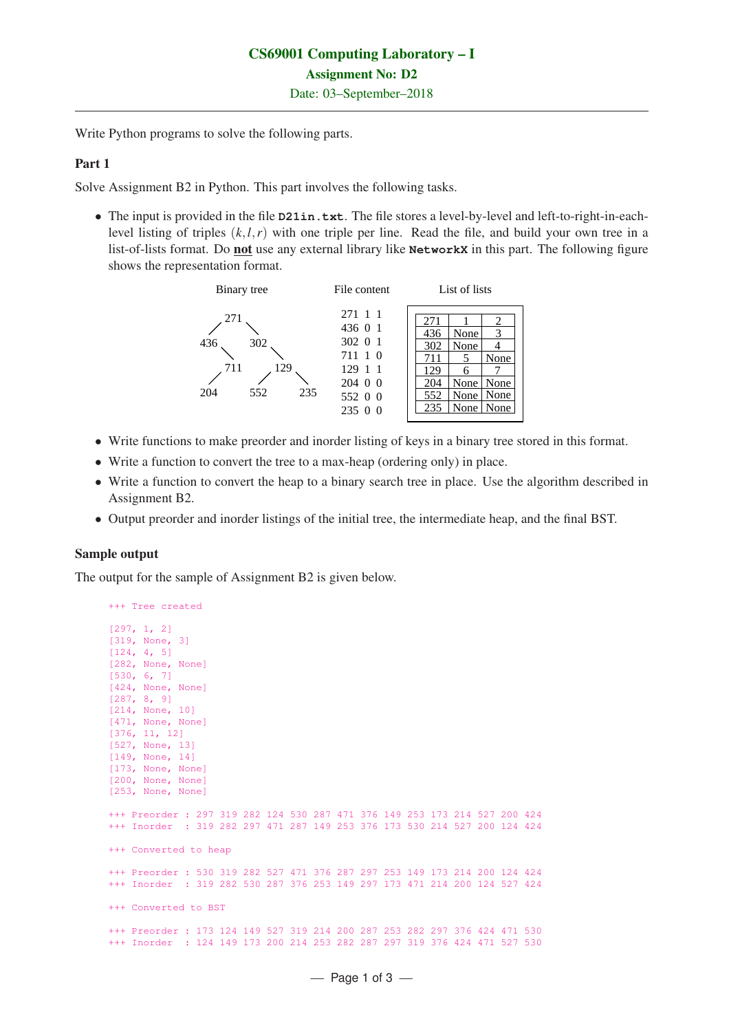Write Python programs to solve the following parts.

## Part 1

Solve Assignment B2 in Python. This part involves the following tasks.

• The input is provided in the file **D21in.txt**. The file stores a level-by-level and left-to-right-in-eachlevel listing of triples (*k*,*l*,*r*) with one triple per line. Read the file, and build your own tree in a list-of-lists format. Do not use any external library like **NetworkX** in this part. The following figure shows the representation format.



- Write functions to make preorder and inorder listing of keys in a binary tree stored in this format.
- Write a function to convert the tree to a max-heap (ordering only) in place.
- Write a function to convert the heap to a binary search tree in place. Use the algorithm described in Assignment B2.
- Output preorder and inorder listings of the initial tree, the intermediate heap, and the final BST.

## Sample output

The output for the sample of Assignment B2 is given below.

```
+++ Tree created
[297, 1, 2]
[319, None, 3]
[124, 4, 5]
[282, None, None]
[530, 6, 7]
[424, None, None]
[287, 8, 9]
[214, None, 10]
[471, None, None]
[376, 11, 12]
[527, None, 13]
[149, None, 14]
[173, None, None]
[200, None, None]
[253, None, None]
+++ Preorder : 297 319 282 124 530 287 471 376 149 253 173 214 527 200 424
+++ Inorder : 319 282 297 471 287 149 253 376 173 530 214 527 200 124 424
+++ Converted to heap
+++ Preorder : 530 319 282 527 471 376 287 297 253 149 173 214 200 124 424
+++ Inorder : 319 282 530 287 376 253 149 297 173 471 214 200 124 527 424
+++ Converted to BST
+++ Preorder : 173 124 149 527 319 214 200 287 253 282 297 376 424 471 530
+++ Inorder : 124 149 173 200 214 253 282 287 297 319 376 424 471 527 530
```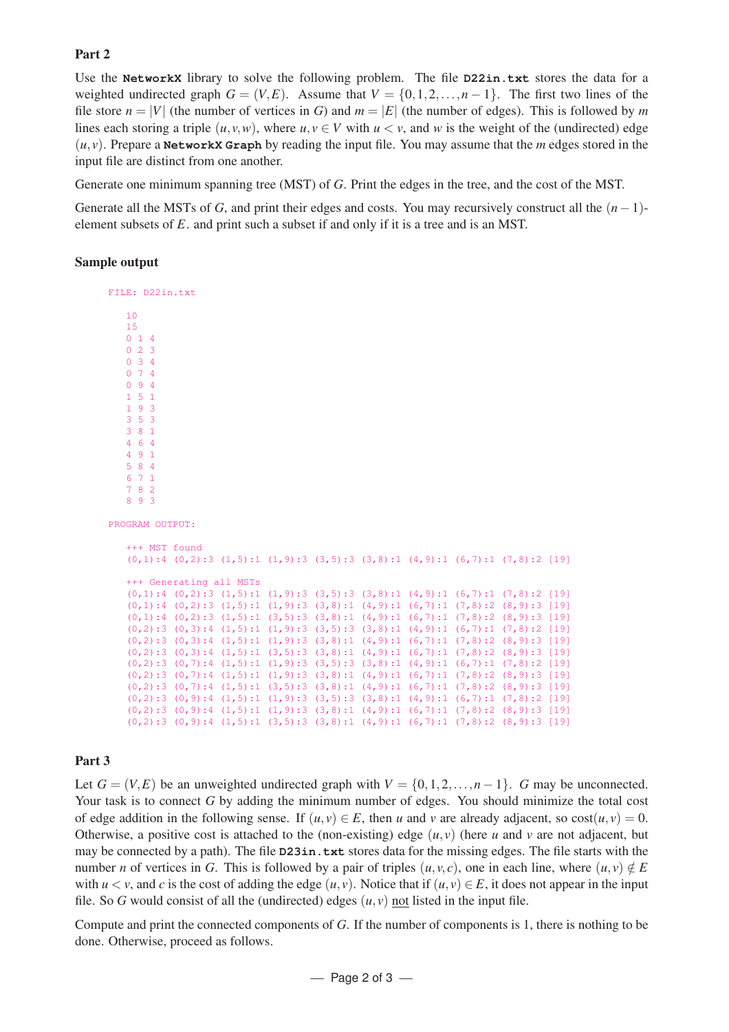## Part 2

Use the **NetworkX** library to solve the following problem. The file **D22in.txt** stores the data for a weighted undirected graph  $G = (V, E)$ . Assume that  $V = \{0, 1, 2, ..., n-1\}$ . The first two lines of the file store  $n = |V|$  (the number of vertices in *G*) and  $m = |E|$  (the number of edges). This is followed by *m* lines each storing a triple  $(u, v, w)$ , where  $u, v \in V$  with  $u < v$ , and w is the weight of the (undirected) edge  $(u, v)$ . Prepare a **NetworkX Graph** by reading the input file. You may assume that the *m* edges stored in the input file are distinct from one another.

Generate one minimum spanning tree (MST) of *G*. Print the edges in the tree, and the cost of the MST.

Generate all the MSTs of *G*, and print their edges and costs. You may recursively construct all the  $(n-1)$ element subsets of *E*. and print such a subset if and only if it is a tree and is an MST.

#### Sample output

FILE: D22in.txt 10 15 0 1 4 0 2 3 0 3 4 0 7 4 0 9 4 1 5 1 1 9 3 3 5 3 3 8 1 4 6 4 4 9 1 5 8 4 6 7 1 7 8 2 8 9 3 PROGRAM OUTPUT. +++ MST found  $(0,1):4$   $(0,2):3$   $(1,5):1$   $(1,9):3$   $(3,5):3$   $(3,8):1$   $(4,9):1$   $(6,7):1$   $(7,8):2$  [19] +++ Generating all MSTs (0,1):4 (0,2):3 (1,5):1 (1,9):3 (3,5):3 (3,8):1 (4,9):1 (6,7):1 (7,8):2 [19] (0,1):4 (0,2):3 (1,5):1 (1,9):3 (3,8):1 (4,9):1 (6,7):1 (7,8):2 (8,9):3 [19] (0,1):4 (0,2):3 (1,5):1 (3,5):3 (3,8):1 (4,9):1 (6,7):1 (7,8):2 (8,9):3 [19] (0,2):3 (0,3):4 (1,5):1 (1,9):3 (3,5):3 (3,8):1 (4,9):1 (6,7):1 (7,8):2 [19] (0,2):3 (0,3):4 (1,5):1 (1,9):3 (3,8):1 (4,9):1 (6,7):1 (7,8):2 (8,9):3 [19] (0,2):3 (0,3):4 (1,5):1 (3,5):3 (3,8):1 (4,9):1 (6,7):1 (7,8):2 (8,9):3 [19] (0,2):3 (0,7):4 (1,5):1 (1,9):3 (3,5):3 (3,8):1 (4,9):1 (6,7):1 (7,8):2 [19] (0,2):3 (0,7):4 (1,5):1 (1,9):3 (3,8):1 (4,9):1 (6,7):1 (7,8):2 (8,9):3 [19] (0,2):3 (0,7):4 (1,5):1 (3,5):3 (3,8):1 (4,9):1 (6,7):1 (7,8):2 (8,9):3 [19] (0,2):3 (0,9):4 (1,5):1 (1,9):3 (3,5):3 (3,8):1 (4,9):1 (6,7):1 (7,8):2 [19] (0,2):3 (0,9):4 (1,5):1 (1,9):3 (3,8):1 (4,9):1 (6,7):1 (7,8):2 (8,9):3 [19] (0,2):3 (0,9):4 (1,5):1 (3,5):3 (3,8):1 (4,9):1 (6,7):1 (7,8):2 (8,9):3 [19]

## Part 3

Let  $G = (V, E)$  be an unweighted undirected graph with  $V = \{0, 1, 2, ..., n - 1\}$ . *G* may be unconnected. Your task is to connect *G* by adding the minimum number of edges. You should minimize the total cost of edge addition in the following sense. If  $(u, v) \in E$ , then *u* and *v* are already adjacent, so  $cost(u, v) = 0$ . Otherwise, a positive cost is attached to the (non-existing) edge  $(u, v)$  (here *u* and *v* are not adjacent, but may be connected by a path). The file **D23in.txt** stores data for the missing edges. The file starts with the number *n* of vertices in *G*. This is followed by a pair of triples  $(u, v, c)$ , one in each line, where  $(u, v) \notin E$ with  $u < v$ , and c is the cost of adding the edge  $(u, v)$ . Notice that if  $(u, v) \in E$ , it does not appear in the input file. So G would consist of all the (undirected) edges  $(u, v)$  not listed in the input file.

Compute and print the connected components of *G*. If the number of components is 1, there is nothing to be done. Otherwise, proceed as follows.